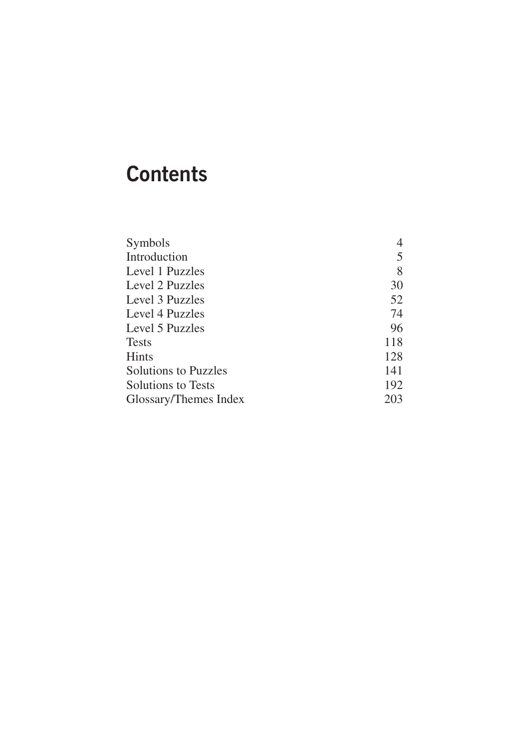# **Contents**

| Symbols                     |     |
|-----------------------------|-----|
| Introduction                | 5   |
| Level 1 Puzzles             | 8   |
| Level 2 Puzzles             | 30  |
| Level 3 Puzzles             | 52  |
| Level 4 Puzzles             | 74  |
| Level 5 Puzzles             | 96  |
| <b>Tests</b>                | 118 |
| Hints                       | 128 |
| <b>Solutions to Puzzles</b> | 141 |
| <b>Solutions to Tests</b>   | 192 |
| Glossary/Themes Index       | 203 |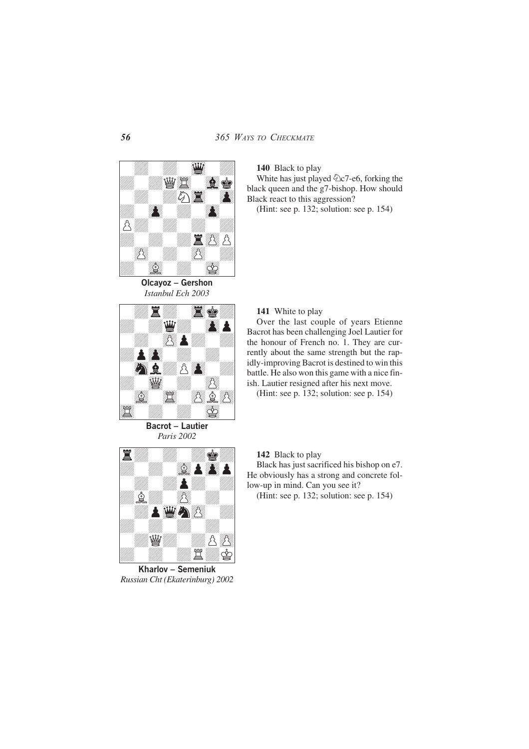

**Olcayoz – Gershon** *Istanbul Ech 2003*



**Bacrot – Lautier** *Paris 2002*



(Hint: see p. [132](#page--1-0); solution: see p. [154](#page--1-0))

**141** White to play

Over the last couple of years Etienne Bacrot has been challenging Joel Lautier for the honour of French no. 1. They are currently about the same strength but the rapidly-improving Bacrot is destined to win this battle. He also won this game with a nice finish. Lautier resigned after his next move.

(Hint: see p. [132](#page--1-0); solution: see p. [154](#page--1-0))

**142** Black to play

Black has just sacrificed his bishop on e7. He obviously has a strong and concrete follow-up in mind. Can you see it?

(Hint: see p. [132](#page--1-0); solution: see p. [154](#page--1-0))



*Russian Cht (Ekaterinburg) 2002*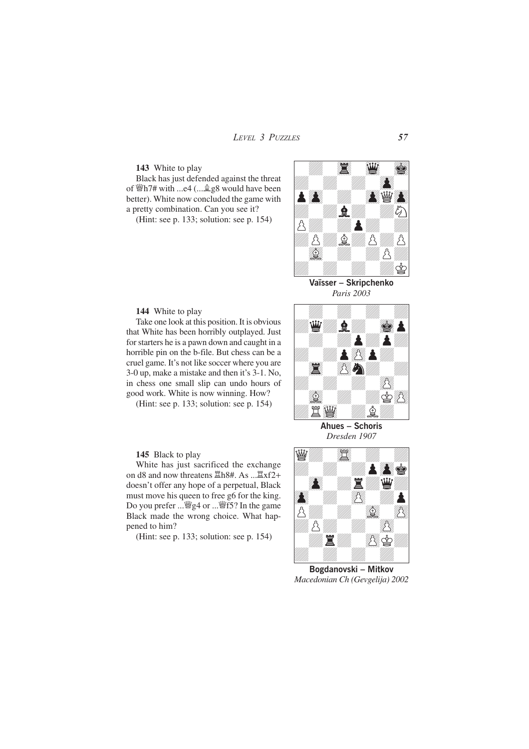# **143** White to play

Black has just defended against the threat of  $\mathcal{W}h$ 7# with ...e4 (... $\mathcal{Q}_8$ 8 would have been better). White now concluded the game with a pretty combination. Can you see it?

(Hint: see p. [133;](#page--1-0) solution: see p. [154\)](#page--1-0)



**Vaïsser – Skripchenko** *Paris 2003*

# **144** White to play

Take one look at this position. It is obvious that White has been horribly outplayed. Just for starters he is a pawn down and caught in a horrible pin on the b-file. But chess can be a cruel game. It's not like soccer where you are 3-0 up, make a mistake and then it's 3-1. No, in chess one small slip can undo hours of good work. White is now winning. How?

(Hint: see p. [133;](#page--1-0) solution: see p. [154\)](#page--1-0)

# **145** Black to play

White has just sacrificed the exchange on d8 and now threatens  $\Xi$ h8#. As ... $\Xi$ xf2+ doesn't offer any hope of a perpetual, Black must move his queen to free g6 for the king. Do you prefer  $\ldots \cong g4$  or  $\ldots \cong f5$ ? In the game Black made the wrong choice. What happened to him?

(Hint: see p. [133;](#page--1-0) solution: see p. [154\)](#page--1-0)



**Ahues – Schoris** *Dresden 1907*



**Bogdanovski – Mitkov** *Macedonian Ch (Gevgelija) 2002*